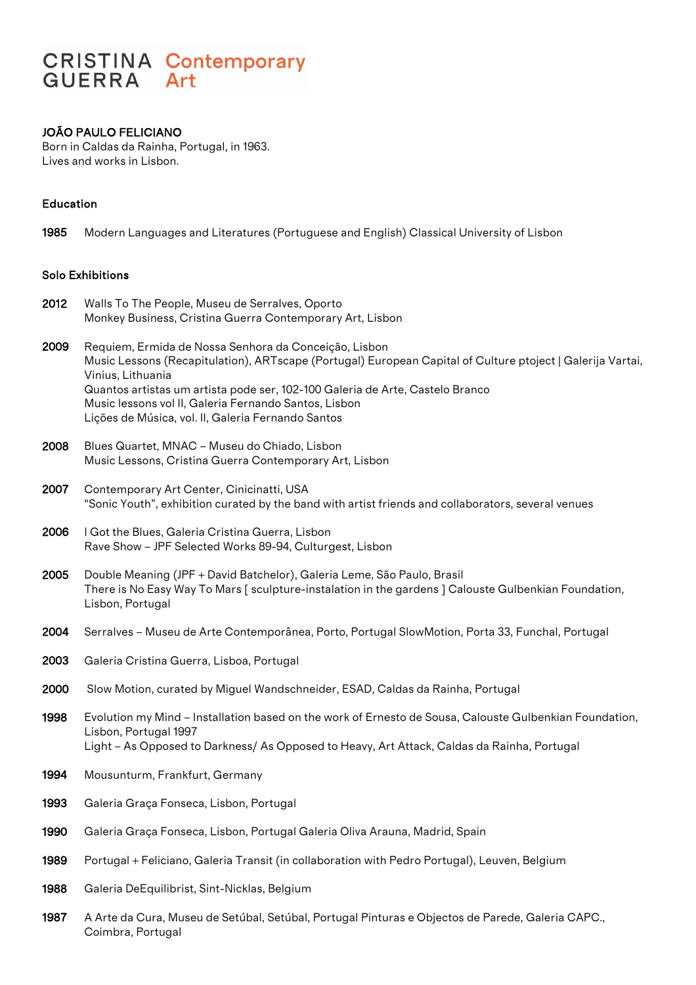# **CRISTINA Contemporary GUERRA** Art

# JOÃO PAULO FELICIANO

Born in Caldas da Rainha, Portugal, in 1963. Lives and works in Lisbon.

# Education

1985 Modern Languages and Literatures (Portuguese and English) Classical University of Lisbon

### Solo Exhibitions

- 2012 Walls To The People, Museu de Serralves, Oporto Monkey Business, Cristina Guerra Contemporary Art, Lisbon
- 2009 Requiem, Ermida de Nossa Senhora da Conceição, Lisbon Music Lessons (Recapitulation), ARTscape (Portugal) European Capital of Culture ptoject | Galerija Vartai, Vinius, Lithuania Quantos artistas um artista pode ser, 102-100 Galeria de Arte, Castelo Branco Music lessons vol II, Galeria Fernando Santos, Lisbon Lições de Música, vol. II, Galeria Fernando Santos
- 2008 Blues Quartet, MNAC Museu do Chiado, Lisbon Music Lessons, Cristina Guerra Contemporary Art, Lisbon
- 2007 Contemporary Art Center, Cinicinatti, USA "Sonic Youth", exhibition curated by the band with artist friends and collaborators, several venues
- 2006 I Got the Blues, Galeria Cristina Guerra, Lisbon Rave Show – JPF Selected Works 89-94, Culturgest, Lisbon
- 2005 Double Meaning (JPF + David Batchelor), Galeria Leme, São Paulo, Brasil There is No Easy Way To Mars [ sculpture-instalation in the gardens ] Calouste Gulbenkian Foundation, Lisbon, Portugal
- 2004 Serralves Museu de Arte Contemporânea, Porto, Portugal SlowMotion, Porta 33, Funchal, Portugal
- 2003 Galeria Cristina Guerra, Lisboa, Portugal
- 2000 Slow Motion, curated by Miguel Wandschneider, ESAD, Caldas da Rainha, Portugal
- 1998 Evolution my Mind Installation based on the work of Ernesto de Sousa, Calouste Gulbenkian Foundation, Lisbon, Portugal 1997 Light – As Opposed to Darkness/ As Opposed to Heavy, Art Attack, Caldas da Rainha, Portugal
- 1994 Mousunturm, Frankfurt, Germany
- 1993 Galeria Graça Fonseca, Lisbon, Portugal
- 1990 Galeria Graça Fonseca, Lisbon, Portugal Galeria Oliva Arauna, Madrid, Spain
- 1989 Portugal + Feliciano, Galeria Transit (in collaboration with Pedro Portugal), Leuven, Belgium
- 1988 Galeria DeEquilibrist, Sint-Nicklas, Belgium
- 1987 A Arte da Cura, Museu de Setúbal, Setúbal, Portugal Pinturas e Objectos de Parede, Galeria CAPC., Coimbra, Portugal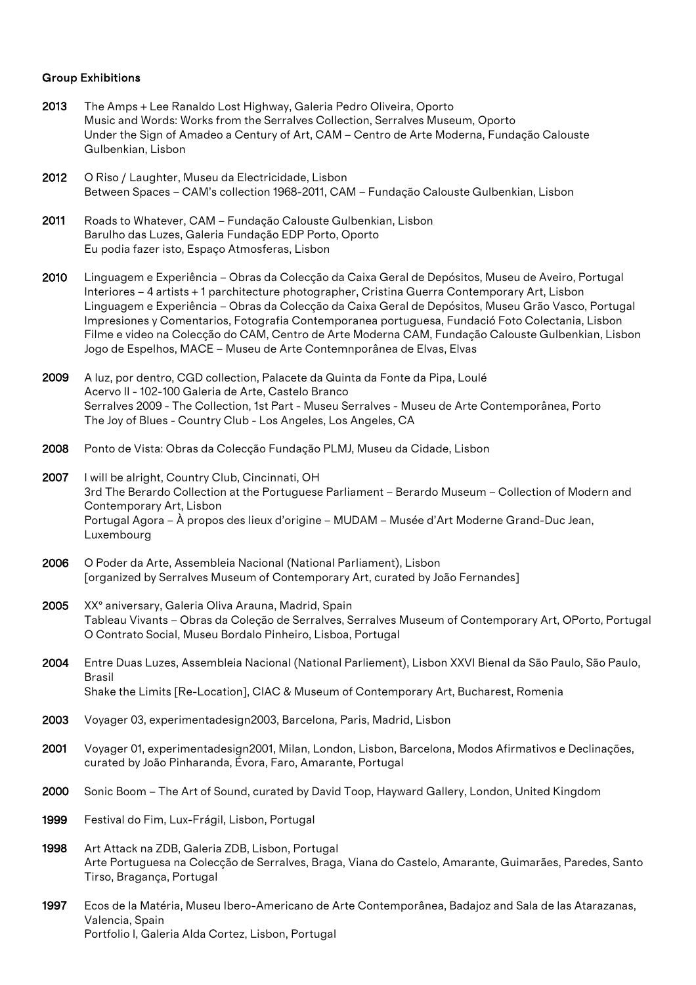#### Group Exhibitions

- 2013 The Amps + Lee Ranaldo Lost Highway, Galeria Pedro Oliveira, Oporto Music and Words: Works from the Serralves Collection, Serralves Museum, Oporto Under the Sign of Amadeo a Century of Art, CAM – Centro de Arte Moderna, Fundação Calouste Gulbenkian, Lisbon
- 2012 O Riso / Laughter, Museu da Electricidade, Lisbon Between Spaces – CAM's collection 1968-2011, CAM – Fundação Calouste Gulbenkian, Lisbon
- 2011 Roads to Whatever, CAM Fundação Calouste Gulbenkian, Lisbon Barulho das Luzes, Galeria Fundação EDP Porto, Oporto Eu podia fazer isto, Espaço Atmosferas, Lisbon
- 2010 Linguagem e Experiência Obras da Colecção da Caixa Geral de Depósitos, Museu de Aveiro, Portugal Interiores – 4 artists + 1 parchitecture photographer, Cristina Guerra Contemporary Art, Lisbon Linguagem e Experiência – Obras da Colecção da Caixa Geral de Depósitos, Museu Grão Vasco, Portugal Impresiones y Comentarios, Fotografia Contemporanea portuguesa, Fundació Foto Colectania, Lisbon Filme e video na Colecção do CAM, Centro de Arte Moderna CAM, Fundação Calouste Gulbenkian, Lisbon Jogo de Espelhos, MACE – Museu de Arte Contemnporânea de Elvas, Elvas
- 2009 A luz, por dentro, CGD collection, Palacete da Quinta da Fonte da Pipa, Loulé Acervo II - 102-100 Galeria de Arte, Castelo Branco Serralves 2009 - The Collection, 1st Part - Museu Serralves - Museu de Arte Contemporânea, Porto The Joy of Blues - Country Club - Los Angeles, Los Angeles, CA
- 2008 Ponto de Vista: Obras da Colecção Fundação PLMJ, Museu da Cidade, Lisbon
- 2007 I will be alright, Country Club, Cincinnati, OH 3rd The Berardo Collection at the Portuguese Parliament – Berardo Museum – Collection of Modern and Contemporary Art, Lisbon Portugal Agora – À propos des lieux d'origine – MUDAM – Musée d'Art Moderne Grand-Duc Jean, Luxembourg
- 2006 O Poder da Arte, Assembleia Nacional (National Parliament), Lisbon [organized by Serralves Museum of Contemporary Art, curated by João Fernandes]
- 2005 XXº aniversary, Galeria Oliva Arauna, Madrid, Spain Tableau Vivants – Obras da Coleção de Serralves, Serralves Museum of Contemporary Art, OPorto, Portugal O Contrato Social, Museu Bordalo Pinheiro, Lisboa, Portugal
- 2004 Entre Duas Luzes, Assembleia Nacional (National Parliement), Lisbon XXVI Bienal da São Paulo, São Paulo, Brasil Shake the Limits [Re-Location], CIAC & Museum of Contemporary Art, Bucharest, Romenia
- 2003 Voyager 03, experimentadesign2003, Barcelona, Paris, Madrid, Lisbon
- 2001 Voyager 01, experimentadesign2001, Milan, London, Lisbon, Barcelona, Modos Afirmativos e Declinações, curated by João Pinharanda, Évora, Faro, Amarante, Portugal
- 2000 Sonic Boom The Art of Sound, curated by David Toop, Hayward Gallery, London, United Kingdom
- 1999 Festival do Fim, Lux-Frágil, Lisbon, Portugal
- 1998 Art Attack na ZDB, Galeria ZDB, Lisbon, Portugal Arte Portuguesa na Colecção de Serralves, Braga, Viana do Castelo, Amarante, Guimarães, Paredes, Santo Tirso, Bragança, Portugal
- 1997 Ecos de la Matéria, Museu Ibero-Americano de Arte Contemporânea, Badajoz and Sala de las Atarazanas, Valencia, Spain Portfolio I, Galeria Alda Cortez, Lisbon, Portugal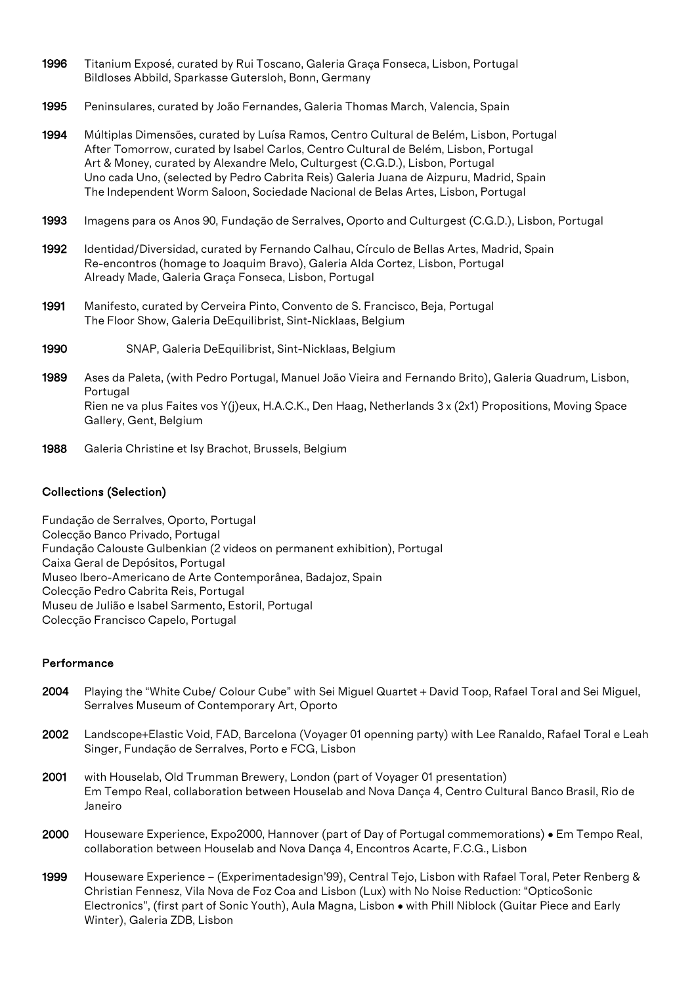- 1996 Titanium Exposé, curated by Rui Toscano, Galeria Graça Fonseca, Lisbon, Portugal Bildloses Abbild, Sparkasse Gutersloh, Bonn, Germany
- 1995 Peninsulares, curated by João Fernandes, Galeria Thomas March, Valencia, Spain
- 1994 Múltiplas Dimensões, curated by Luísa Ramos, Centro Cultural de Belém, Lisbon, Portugal After Tomorrow, curated by Isabel Carlos, Centro Cultural de Belém, Lisbon, Portugal Art & Money, curated by Alexandre Melo, Culturgest (C.G.D.), Lisbon, Portugal Uno cada Uno, (selected by Pedro Cabrita Reis) Galeria Juana de Aizpuru, Madrid, Spain The Independent Worm Saloon, Sociedade Nacional de Belas Artes, Lisbon, Portugal
- 1993 Imagens para os Anos 90, Fundação de Serralves, Oporto and Culturgest (C.G.D.), Lisbon, Portugal
- 1992 Identidad/Diversidad, curated by Fernando Calhau, Círculo de Bellas Artes, Madrid, Spain Re-encontros (homage to Joaquim Bravo), Galeria Alda Cortez, Lisbon, Portugal Already Made, Galeria Graça Fonseca, Lisbon, Portugal
- 1991 Manifesto, curated by Cerveira Pinto, Convento de S. Francisco, Beja, Portugal The Floor Show, Galeria DeEquilibrist, Sint-Nicklaas, Belgium
- 1990 SNAP, Galeria DeEquilibrist, Sint-Nicklaas, Belgium
- 1989 Ases da Paleta, (with Pedro Portugal, Manuel João Vieira and Fernando Brito), Galeria Quadrum, Lisbon, **Portugal** Rien ne va plus Faites vos Y(j)eux, H.A.C.K., Den Haag, Netherlands 3 x (2x1) Propositions, Moving Space Gallery, Gent, Belgium
- 1988 Galeria Christine et Isy Brachot, Brussels, Belgium

## Collections (Selection)

Fundação de Serralves, Oporto, Portugal Colecção Banco Privado, Portugal Fundação Calouste Gulbenkian (2 videos on permanent exhibition), Portugal Caixa Geral de Depósitos, Portugal Museo Ibero-Americano de Arte Contemporânea, Badajoz, Spain Colecção Pedro Cabrita Reis, Portugal Museu de Julião e Isabel Sarmento, Estoril, Portugal Colecção Francisco Capelo, Portugal

### Performance

- 2004 Playing the "White Cube/ Colour Cube" with Sei Miguel Quartet + David Toop, Rafael Toral and Sei Miguel, Serralves Museum of Contemporary Art, Oporto
- 2002 Landscope+Elastic Void, FAD, Barcelona (Voyager 01 openning party) with Lee Ranaldo, Rafael Toral e Leah Singer, Fundação de Serralves, Porto e FCG, Lisbon
- 2001 with Houselab, Old Trumman Brewery, London (part of Voyager 01 presentation) Em Tempo Real, collaboration between Houselab and Nova Dança 4, Centro Cultural Banco Brasil, Rio de Janeiro
- 2000 Houseware Experience, Expo2000, Hannover (part of Day of Portugal commemorations) Em Tempo Real, collaboration between Houselab and Nova Dança 4, Encontros Acarte, F.C.G., Lisbon
- 1999 Houseware Experience (Experimentadesign'99), Central Tejo, Lisbon with Rafael Toral, Peter Renberg & Christian Fennesz, Vila Nova de Foz Coa and Lisbon (Lux) with No Noise Reduction: "OpticoSonic Electronics", (first part of Sonic Youth), Aula Magna, Lisbon • with Phill Niblock (Guitar Piece and Early Winter), Galeria ZDB, Lisbon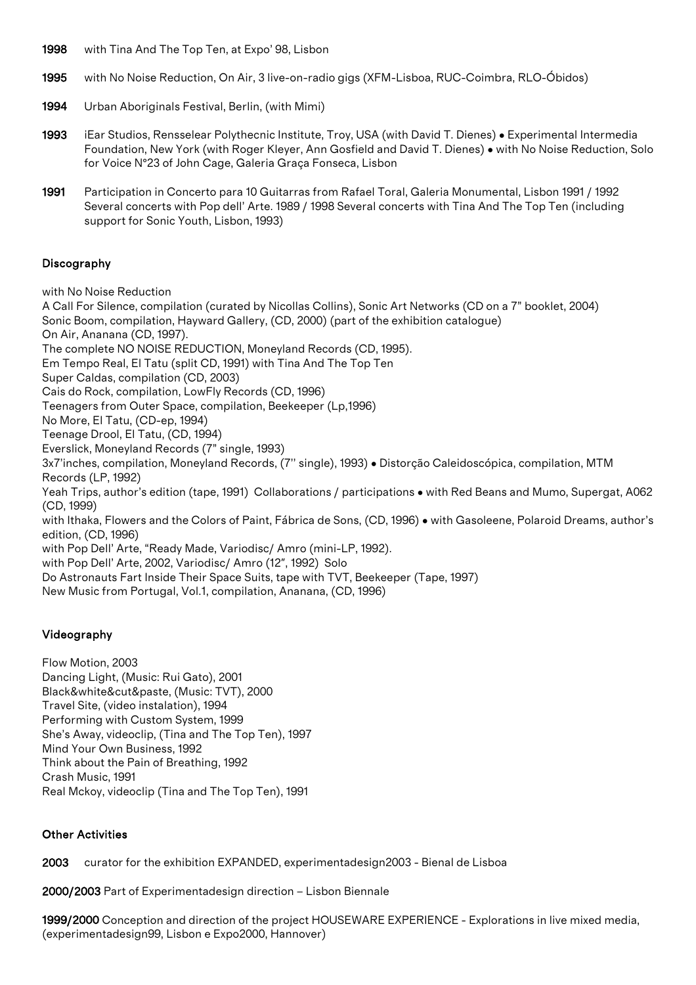- 1998 with Tina And The Top Ten, at Expo' 98, Lisbon
- 1995 with No Noise Reduction, On Air, 3 live-on-radio gigs (XFM-Lisboa, RUC-Coimbra, RLO-Óbidos)
- 1994 Urban Aboriginals Festival, Berlin, (with Mimi)
- 1993 iEar Studios, Rensselear Polythecnic Institute, Troy, USA (with David T. Dienes) Experimental Intermedia Foundation, New York (with Roger Kleyer, Ann Gosfield and David T. Dienes) • with No Noise Reduction, Solo for Voice Nº23 of John Cage, Galeria Graça Fonseca, Lisbon
- 1991 Participation in Concerto para 10 Guitarras from Rafael Toral, Galeria Monumental, Lisbon 1991 / 1992 Several concerts with Pop dell' Arte. 1989 / 1998 Several concerts with Tina And The Top Ten (including support for Sonic Youth, Lisbon, 1993)

# **Discography**

with No Noise Reduction

A Call For Silence, compilation (curated by Nicollas Collins), Sonic Art Networks (CD on a 7" booklet, 2004) Sonic Boom, compilation, Hayward Gallery, (CD, 2000) (part of the exhibition catalogue) On Air, Ananana (CD, 1997). The complete NO NOISE REDUCTION, Moneyland Records (CD, 1995). Em Tempo Real, El Tatu (split CD, 1991) with Tina And The Top Ten Super Caldas, compilation (CD, 2003) Cais do Rock, compilation, LowFly Records (CD, 1996) Teenagers from Outer Space, compilation, Beekeeper (Lp,1996) No More, El Tatu, (CD-ep, 1994) Teenage Drool, El Tatu, (CD, 1994) Everslick, Moneyland Records (7" single, 1993) 3x7'inches, compilation, Moneyland Records, (7'' single), 1993) • Distorção Caleidoscópica, compilation, MTM Records (LP, 1992) Yeah Trips, author's edition (tape, 1991) Collaborations / participations • with Red Beans and Mumo, Supergat, A062 (CD, 1999) with Ithaka, Flowers and the Colors of Paint, Fábrica de Sons, (CD, 1996) • with Gasoleene, Polaroid Dreams, author's edition, (CD, 1996) with Pop Dell' Arte, "Ready Made, Variodisc/ Amro (mini-LP, 1992). with Pop Dell' Arte, 2002, Variodisc/ Amro (12", 1992) Solo Do Astronauts Fart Inside Their Space Suits, tape with TVT, Beekeeper (Tape, 1997) New Music from Portugal, Vol.1, compilation, Ananana, (CD, 1996)

# Videography

Flow Motion, 2003 Dancing Light, (Music: Rui Gato), 2001 Black&white&cut&paste, (Music: TVT), 2000 Travel Site, (video instalation), 1994 Performing with Custom System, 1999 She's Away, videoclip, (Tina and The Top Ten), 1997 Mind Your Own Business, 1992 Think about the Pain of Breathing, 1992 Crash Music, 1991 Real Mckoy, videoclip (Tina and The Top Ten), 1991

### Other Activities

2003 curator for the exhibition EXPANDED, experimentadesign2003 - Bienal de Lisboa

2000/2003 Part of Experimentadesign direction – Lisbon Biennale

1999/2000 Conception and direction of the project HOUSEWARE EXPERIENCE - Explorations in live mixed media, (experimentadesign99, Lisbon e Expo2000, Hannover)